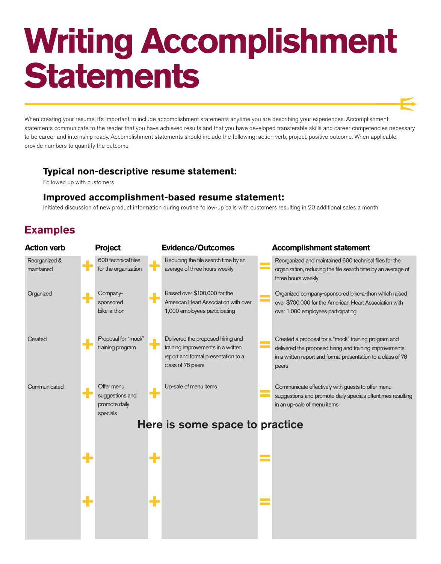## **Writing Accomplishment Statements**

When creating your resume, it's important to include accomplishment statements anytime you are describing your experiences. Accomplishment statements communicate to the reader that you have achieved results and that you have developed transferable skills and career competencies necessary to be career and internship ready. Accomplishment statements should include the following: action verb, project, positive outcome. When applicable, provide numbers to quantify the outcome.

### **Typical non-descriptive resume statement:**

Followed up with customers

### **Improved accomplishment-based resume statement:**

Initiated discussion of new product information during routine follow-up calls with customers resulting in 20 additional sales a month

### **Examples**

| <b>Project</b>                                             |                  |                                                                                                                                     |                          | <b>Accomplishment statement</b>                                                                                                                                                          |
|------------------------------------------------------------|------------------|-------------------------------------------------------------------------------------------------------------------------------------|--------------------------|------------------------------------------------------------------------------------------------------------------------------------------------------------------------------------------|
| 600 technical files<br>for the organization                |                  | Reducing the file search time by an<br>average of three hours weekly                                                                |                          | Reorganized and maintained 600 technical files for the<br>organization, reducing the file search time by an average of<br>three hours weekly                                             |
| Company-<br>sponsored<br>bike-a-thon                       |                  | Raised over \$100,000 for the<br>American Heart Association with over<br>1,000 employees participating                              |                          | Organized company-sponsored bike-a-thon which raised<br>over \$700,000 for the American Heart Association with<br>over 1,000 employees participating                                     |
| Proposal for "mock"<br>training program                    |                  | Delivered the proposed hiring and<br>training improvements in a written<br>report and formal presentation to a<br>class of 78 peers |                          | Created a proposal for a "mock" training program and<br>delivered the proposed hiring and training improvements<br>in a written report and formal presentation to a class of 78<br>peers |
| Offer menu<br>suggestions and<br>promote daily<br>specials |                  | Up-sale of menu items                                                                                                               |                          | Communicate effectively with guests to offer menu<br>suggestions and promote daily specials oftentimes resulting<br>in an up-sale of menu items                                          |
|                                                            |                  |                                                                                                                                     |                          |                                                                                                                                                                                          |
|                                                            | ╋                |                                                                                                                                     | $\frac{1}{\sqrt{2}}$     |                                                                                                                                                                                          |
|                                                            | ٠                |                                                                                                                                     |                          |                                                                                                                                                                                          |
|                                                            | ۰<br>╋<br>÷<br>÷ |                                                                                                                                     | <b>Evidence/Outcomes</b> | Here is some space to practice                                                                                                                                                           |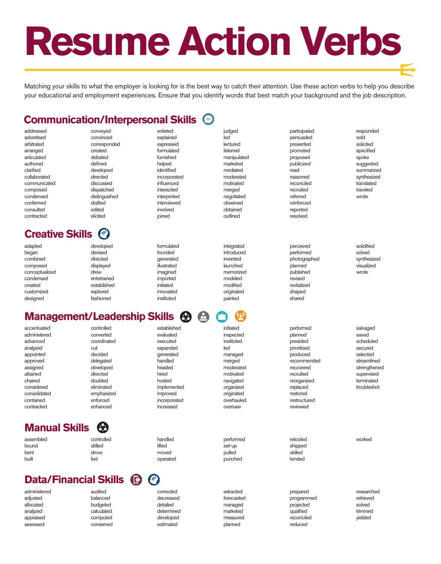# **Resume Action Verbs**

Matching your skills to what the employer is looking for is the best way to catch their attention. Use these action verbs to help you describe your educational and employment experiences. Ensure that you identify words that best match your background and the job description.

### **Communication/Interpersonal Skills**

assessed

conserved

estimated

planned

reduced

| addressed               | conveyed                                                | enlisted                  | judged                | participated             | responded          |
|-------------------------|---------------------------------------------------------|---------------------------|-----------------------|--------------------------|--------------------|
| advertised              | convinced                                               | explained                 | led                   | persuaded                | sold               |
| arbitrated              | corresponded                                            | expressed                 | lectured              | presented                | solicited          |
| arranged                | created                                                 | formulated                | listened              | promoted                 | specified          |
| articulated             | debated                                                 | furnished                 | manipulated           | proposed                 | spoke              |
| authored                | defined                                                 | helped                    | marketed              | publicized               | suggested          |
| clarified               | developed                                               | identified                | mediated              | read                     | summarized         |
|                         |                                                         |                           | moderated             |                          | synthesized        |
| collaborated            | directed                                                | incorporated              |                       | reasoned                 |                    |
| communicated            | discussed                                               | influenced                | motivated             | reconciled               | translated         |
| composed                | dispatched                                              | interacted                | merged                | recruited                | traveled           |
| condensed               | distinguished                                           | interpreted               | negotiated            | referred                 | wrote              |
| conferrred              | drafted                                                 | interviewed               | observed              | reinforced               |                    |
| consulted               | edited                                                  | involved                  | obtained              | reported                 |                    |
| contracted              | elicited                                                | joined                    | outlined              | resolved                 |                    |
| <b>Creative Skills</b>  | Coo                                                     |                           |                       |                          |                    |
| adapted                 | developed                                               | formulated                | integrated            | perceived                | solidified         |
| began                   | devised                                                 | founded                   | introduced            | performed                | solved             |
| combined                | directed                                                | generated                 | invented              | photographed             | synthesized        |
| composed                | displayed                                               | illustrated               | launched              | planned                  | visualized         |
|                         |                                                         |                           | memorized             |                          | wrote              |
| conceptualized          | drew                                                    | imagined                  |                       | published                |                    |
| condensed               | entertained                                             | imported                  | modeled               | revised                  |                    |
| created                 | established                                             | initiated                 | modified              | revitalized              |                    |
| customized              | explored                                                | innovated                 | originated            | shaped                   |                    |
| designed                | fashioned                                               | instituted                | painted               | shared                   |                    |
|                         | <b>Management/Leadership Skills <math>\Theta</math></b> |                           | $\triangle$<br>₹ō۶    |                          |                    |
|                         |                                                         |                           |                       |                          |                    |
| accentuated             | controlled                                              | established               | initiated             | performed                | salvaged           |
| administered            | converted                                               | evaluated                 | inspected             | planned                  | saved              |
| advanced                | coordinated                                             | executed                  | instituted            | presided                 | scheduled          |
| analyzed                | cut                                                     | expanded                  | led                   | prioritized              | secured            |
| appointed               | decided                                                 | generated                 | managed               | produced                 | selected           |
| approved                | delegated                                               | handled                   | merged                | recommended              | streamlined        |
| assigned                | developed                                               | headed                    | moderated             | recovered                | strengthened       |
| attained                | directed                                                | hired                     | motivated             | recruited                | supervised         |
| chaired                 | doubled                                                 | hosted                    |                       |                          | terminated         |
|                         |                                                         |                           | navigated             | reorganized              |                    |
| considered              | eliminated                                              | implemented               | organized             | replaced                 | troubleshot        |
| consolidated            | emphasized                                              | improved                  | originated            | restored                 |                    |
| contained<br>contracted | enforced<br>enhanced                                    | incorporated<br>increased | overhauled<br>oversaw | restructured<br>reviewed |                    |
|                         |                                                         |                           |                       |                          |                    |
| <b>Manual Skills</b>    | 69                                                      |                           |                       |                          |                    |
| assembled               | controlled                                              | handled                   | performed             | retooled                 | worked             |
| bound                   | drilled                                                 | lifted                    | set-up                | shipped                  |                    |
| bent                    | drove                                                   | moved                     | pulled                | skilled                  |                    |
| built                   | fed                                                     | operated                  | punched               | tended                   |                    |
|                         |                                                         | $\bullet$                 |                       |                          |                    |
|                         | $\bullet$<br><b>Data/Financial Skills</b>               |                           |                       |                          |                    |
| administered            | audited                                                 | corrected                 | extracted             | prepared                 | researched         |
| adjusted                | balanced                                                | decreased                 | forecasted            | programmed               | retrieved          |
| allocated               | budgeted                                                | detailed                  | managed               | projected                | solved             |
| analyzed<br>appraised   | calculated<br>computed                                  | determined<br>developed   | marketed<br>measured  | qualified<br>reconciled  | trimmed<br>yielded |